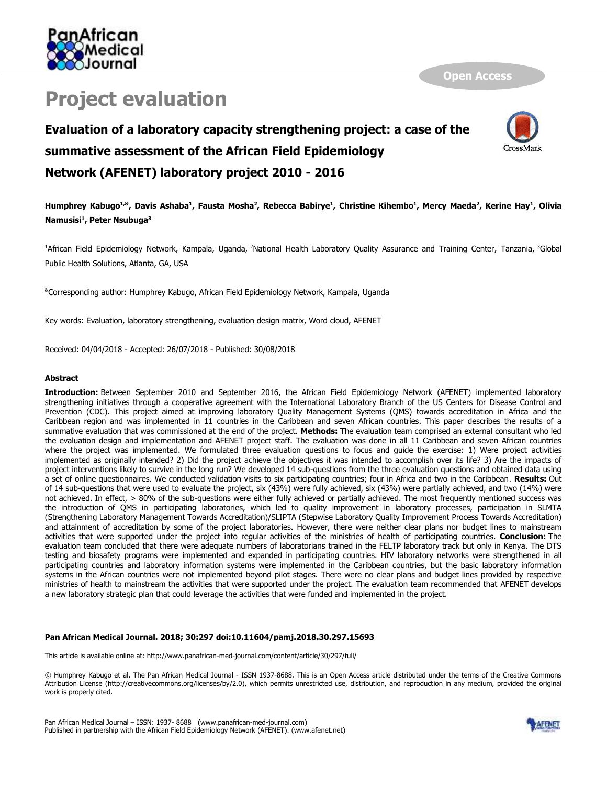

# **Project evaluation**

**Open Access**

## **Evaluation of a laboratory capacity strengthening project: a case of the summative assessment of the African Field Epidemiology Network (AFENET) laboratory project 2010 - 2016**



Humphrey Kabugo<sup>1,&</sup>, Davis Ashaba<sup>1</sup>, Fausta Mosha<sup>2</sup>, Rebecca Babirye<sup>1</sup>, Christine Kihembo<sup>1</sup>, Mercy Maeda<sup>2</sup>, Kerine Hay<sup>1</sup>, Olivia **Namusisi<sup>1</sup> , Peter Nsubuga<sup>3</sup>**

<sup>1</sup>African Field Epidemiology Network, Kampala, Uganda, <sup>2</sup>National Health Laboratory Quality Assurance and Training Center, Tanzania, <sup>3</sup>Global Public Health Solutions, Atlanta, GA, USA

&Corresponding author: Humphrey Kabugo, African Field Epidemiology Network, Kampala, Uganda

Key words: Evaluation, laboratory strengthening, evaluation design matrix, Word cloud, AFENET

Received: 04/04/2018 - Accepted: 26/07/2018 - Published: 30/08/2018

#### **Abstract**

**Introduction:** Between September 2010 and September 2016, the African Field Epidemiology Network (AFENET) implemented laboratory strengthening initiatives through a cooperative agreement with the International Laboratory Branch of the US Centers for Disease Control and Prevention (CDC). This project aimed at improving laboratory Quality Management Systems (QMS) towards accreditation in Africa and the Caribbean region and was implemented in 11 countries in the Caribbean and seven African countries. This paper describes the results of a summative evaluation that was commissioned at the end of the project. **Methods:** The evaluation team comprised an external consultant who led the evaluation design and implementation and AFENET project staff. The evaluation was done in all 11 Caribbean and seven African countries where the project was implemented. We formulated three evaluation questions to focus and guide the exercise: 1) Were project activities implemented as originally intended? 2) Did the project achieve the objectives it was intended to accomplish over its life? 3) Are the impacts of project interventions likely to survive in the long run? We developed 14 sub-questions from the three evaluation questions and obtained data using a set of online questionnaires. We conducted validation visits to six participating countries; four in Africa and two in the Caribbean. **Results:** Out of 14 sub-questions that were used to evaluate the project, six (43%) were fully achieved, six (43%) were partially achieved, and two (14%) were not achieved. In effect, > 80% of the sub-questions were either fully achieved or partially achieved. The most frequently mentioned success was the introduction of QMS in participating laboratories, which led to quality improvement in laboratory processes, participation in SLMTA (Strengthening Laboratory Management Towards Accreditation)/SLIPTA (Stepwise Laboratory Quality Improvement Process Towards Accreditation) and attainment of accreditation by some of the project laboratories. However, there were neither clear plans nor budget lines to mainstream activities that were supported under the project into regular activities of the ministries of health of participating countries. **Conclusion:** The evaluation team concluded that there were adequate numbers of laboratorians trained in the FELTP laboratory track but only in Kenya. The DTS testing and biosafety programs were implemented and expanded in participating countries. HIV laboratory networks were strengthened in all participating countries and laboratory information systems were implemented in the Caribbean countries, but the basic laboratory information systems in the African countries were not implemented beyond pilot stages. There were no clear plans and budget lines provided by respective ministries of health to mainstream the activities that were supported under the project. The evaluation team recommended that AFENET develops a new laboratory strategic plan that could leverage the activities that were funded and implemented in the project.

#### **Pan African Medical Journal. 2018; 30:297 doi:10.11604/pamj.2018.30.297.15693**

This article is available online at: http://www.panafrican-med-journal.com/content/article/30/297/full/

© Humphrey Kabugo et al. The Pan African Medical Journal - ISSN 1937-8688. This is an Open Access article distributed under the terms of the Creative Commons Attribution License (http://creativecommons.org/licenses/by/2.0), which permits unrestricted use, distribution, and reproduction in any medium, provided the original work is properly cited.

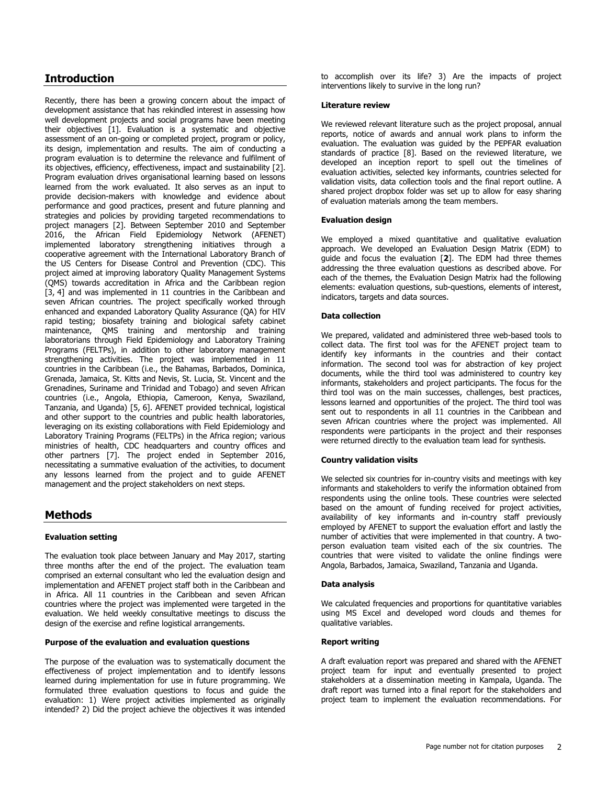## **Introduction**

Recently, there has been a growing concern about the impact of development assistance that has rekindled interest in assessing how well development projects and social programs have been meeting their objectives [\[1\]](http://www.panafrican-med-journal.com/content/article/30/297/full/#ref1). Evaluation is a systematic and objective assessment of an on-going or completed project, program or policy, its design, implementation and results. The aim of conducting a program evaluation is to determine the relevance and fulfilment of its objectives, efficiency, effectiveness, impact and sustainability [\[2\]](http://www.panafrican-med-journal.com/content/article/30/297/full/#ref2). Program evaluation drives organisational learning based on lessons learned from the work evaluated. It also serves as an input to provide decision-makers with knowledge and evidence about performance and good practices, present and future planning and strategies and policies by providing targeted recommendations to project managers [\[2\]](http://www.panafrican-med-journal.com/content/article/30/297/full/#ref2). Between September 2010 and September 2016, the African Field Epidemiology Network (AFENET) implemented laboratory strengthening initiatives through a cooperative agreement with the International Laboratory Branch of the US Centers for Disease Control and Prevention (CDC). This project aimed at improving laboratory Quality Management Systems (QMS) towards accreditation in Africa and the Caribbean region [\[3,](http://www.panafrican-med-journal.com/content/article/30/297/full/#ref3) [4\]](http://www.panafrican-med-journal.com/content/article/30/297/full/#ref4) and was implemented in 11 countries in the Caribbean and seven African countries. The project specifically worked through enhanced and expanded Laboratory Quality Assurance (QA) for HIV rapid testing; biosafety training and biological safety cabinet maintenance, QMS training and mentorship and training laboratorians through Field Epidemiology and Laboratory Training Programs (FELTPs), in addition to other laboratory management strengthening activities. The project was implemented in 11 countries in the Caribbean (i.e., the Bahamas, Barbados, Dominica, Grenada, Jamaica, St. Kitts and Nevis, St. Lucia, St. Vincent and the Grenadines, Suriname and Trinidad and Tobago) and seven African countries (i.e., Angola, Ethiopia, Cameroon, Kenya, Swaziland, Tanzania, and Uganda) [\[5,](http://www.panafrican-med-journal.com/content/article/30/297/full/#ref5) [6\]](http://www.panafrican-med-journal.com/content/article/30/297/full/#ref6). AFENET provided technical, logistical and other support to the countries and public health laboratories, leveraging on its existing collaborations with Field Epidemiology and Laboratory Training Programs (FELTPs) in the Africa region; various ministries of health, CDC headquarters and country offices and other partners [\[7\]](http://www.panafrican-med-journal.com/content/article/30/297/full/#ref7). The project ended in September 2016, necessitating a summative evaluation of the activities, to document any lessons learned from the project and to guide AFENET management and the project stakeholders on next steps.

## **Methods**

#### **Evaluation setting**

The evaluation took place between January and May 2017, starting three months after the end of the project. The evaluation team comprised an external consultant who led the evaluation design and implementation and AFENET project staff both in the Caribbean and in Africa. All 11 countries in the Caribbean and seven African countries where the project was implemented were targeted in the evaluation. We held weekly consultative meetings to discuss the design of the exercise and refine logistical arrangements.

#### **Purpose of the evaluation and evaluation questions**

The purpose of the evaluation was to systematically document the effectiveness of project implementation and to identify lessons learned during implementation for use in future programming. We formulated three evaluation questions to focus and guide the evaluation: 1) Were project activities implemented as originally intended? 2) Did the project achieve the objectives it was intended

to accomplish over its life? 3) Are the impacts of project interventions likely to survive in the long run?

#### **Literature review**

We reviewed relevant literature such as the project proposal, annual reports, notice of awards and annual work plans to inform the evaluation. The evaluation was guided by the PEPFAR evaluation standards of practice [\[8\]](http://www.panafrican-med-journal.com/content/article/30/297/full/#ref8). Based on the reviewed literature, we developed an inception report to spell out the timelines of evaluation activities, selected key informants, countries selected for validation visits, data collection tools and the final report outline. A shared project dropbox folder was set up to allow for easy sharing of evaluation materials among the team members.

#### **Evaluation design**

We employed a mixed quantitative and qualitative evaluation approach. We developed an Evaluation Design Matrix (EDM) to guide and focus the evaluation [**[2](http://www.panafrican-med-journal.com/content/article/30/297/full/#ref2)**]. The EDM had three themes addressing the three evaluation questions as described above. For each of the themes, the Evaluation Design Matrix had the following elements: evaluation questions, sub-questions, elements of interest, indicators, targets and data sources.

#### **Data collection**

We prepared, validated and administered three web-based tools to collect data. The first tool was for the AFENET project team to identify key informants in the countries and their contact information. The second tool was for abstraction of key project documents, while the third tool was administered to country key informants, stakeholders and project participants. The focus for the third tool was on the main successes, challenges, best practices, lessons learned and opportunities of the project. The third tool was sent out to respondents in all 11 countries in the Caribbean and seven African countries where the project was implemented. All respondents were participants in the project and their responses were returned directly to the evaluation team lead for synthesis.

#### **Country validation visits**

We selected six countries for in-country visits and meetings with key informants and stakeholders to verify the information obtained from respondents using the online tools. These countries were selected based on the amount of funding received for project activities, availability of key informants and in-country staff previously employed by AFENET to support the evaluation effort and lastly the number of activities that were implemented in that country. A twoperson evaluation team visited each of the six countries. The countries that were visited to validate the online findings were Angola, Barbados, Jamaica, Swaziland, Tanzania and Uganda.

#### **Data analysis**

We calculated frequencies and proportions for quantitative variables using MS Excel and developed word clouds and themes for qualitative variables.

#### **Report writing**

A draft evaluation report was prepared and shared with the AFENET project team for input and eventually presented to project stakeholders at a dissemination meeting in Kampala, Uganda. The draft report was turned into a final report for the stakeholders and project team to implement the evaluation recommendations. For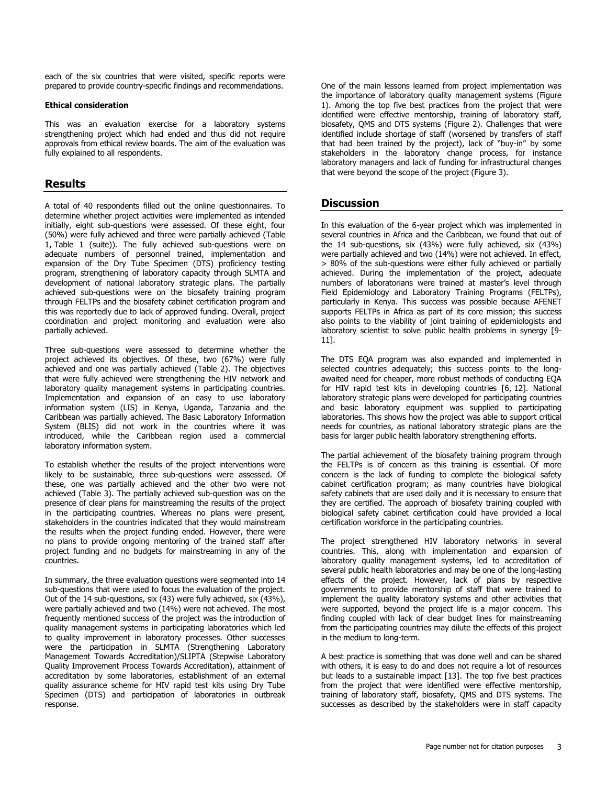each of the six countries that were visited, specific reports were prepared to provide country-specific findings and recommendations.

#### **Ethical consideration**

This was an evaluation exercise for a laboratory systems strengthening project which had ended and thus did not require approvals from ethical review boards. The aim of the evaluation was fully explained to all respondents.

### **Results**

A total of 40 respondents filled out the online questionnaires. To determine whether project activities were implemented as intended initially, eight sub-questions were assessed. Of these eight, four (50%) were fully achieved and three were partially achieved [\(Table](javascript:void(0))  [1,](javascript:void(0)) [Table 1 \(suite\)\)](javascript:void(0)). The fully achieved sub-questions were on adequate numbers of personnel trained, implementation and expansion of the Dry Tube Specimen (DTS) proficiency testing program, strengthening of laboratory capacity through SLMTA and development of national laboratory strategic plans. The partially achieved sub-questions were on the biosafety training program through FELTPs and the biosafety cabinet certification program and this was reportedly due to lack of approved funding. Overall, project coordination and project monitoring and evaluation were also partially achieved.

Three sub-questions were assessed to determine whether the project achieved its objectives. Of these, two (67%) were fully achieved and one was partially achieved [\(Table 2\)](javascript:void(0)). The objectives that were fully achieved were strengthening the HIV network and laboratory quality management systems in participating countries. Implementation and expansion of an easy to use laboratory information system (LIS) in Kenya, Uganda, Tanzania and the Caribbean was partially achieved. The Basic Laboratory Information System (BLIS) did not work in the countries where it was introduced, while the Caribbean region used a commercial laboratory information system.

To establish whether the results of the project interventions were likely to be sustainable, three sub-questions were assessed. Of these, one was partially achieved and the other two were not achieved [\(Table 3\)](javascript:void(0)). The partially achieved sub-question was on the presence of clear plans for mainstreaming the results of the project in the participating countries. Whereas no plans were present, stakeholders in the countries indicated that they would mainstream the results when the project funding ended. However, there were no plans to provide ongoing mentoring of the trained staff after project funding and no budgets for mainstreaming in any of the countries.

In summary, the three evaluation questions were segmented into 14 sub-questions that were used to focus the evaluation of the project. Out of the 14 sub-questions, six (43) were fully achieved, six (43%), were partially achieved and two (14%) were not achieved. The most frequently mentioned success of the project was the introduction of quality management systems in participating laboratories which led to quality improvement in laboratory processes. Other successes were the participation in SLMTA (Strengthening Laboratory Management Towards Accreditation)/SLIPTA (Stepwise Laboratory Quality Improvement Process Towards Accreditation), attainment of accreditation by some laboratories, establishment of an external quality assurance scheme for HIV rapid test kits using Dry Tube Specimen (DTS) and participation of laboratories in outbreak response.

One of the main lessons learned from project implementation was the importance of laboratory quality management systems [\(Figure](javascript:PopupFigure()  [1\)](javascript:PopupFigure(). Among the top five best practices from the project that were identified were effective mentorship, training of laboratory staff, biosafety, QMS and DTS systems [\(Figure 2\)](javascript:PopupFigure(). Challenges that were identified include shortage of staff (worsened by transfers of staff that had been trained by the project), lack of "buy-in" by some stakeholders in the laboratory change process, for instance laboratory managers and lack of funding for infrastructural changes that were beyond the scope of the project [\(Figure 3\)](javascript:PopupFigure().

## **Discussion**

In this evaluation of the 6-year project which was implemented in several countries in Africa and the Caribbean, we found that out of the 14 sub-questions, six (43%) were fully achieved, six (43%) were partially achieved and two (14%) were not achieved. In effect, > 80% of the sub-questions were either fully achieved or partially achieved. During the implementation of the project, adequate numbers of laboratorians were trained at master's level through Field Epidemiology and Laboratory Training Programs (FELTPs), particularly in Kenya. This success was possible because AFENET supports FELTPs in Africa as part of its core mission; this success also points to the viability of joint training of epidemiologists and laboratory scientist to solve public health problems in synergy [\[9-](http://www.panafrican-med-journal.com/content/article/30/297/full/#ref9) [11\]](http://www.panafrican-med-journal.com/content/article/30/297/full/#ref9).

The DTS EQA program was also expanded and implemented in selected countries adequately; this success points to the longawaited need for cheaper, more robust methods of conducting EQA for HIV rapid test kits in developing countries [\[6,](http://www.panafrican-med-journal.com/content/article/30/297/full/#ref6) [12\]](http://www.panafrican-med-journal.com/content/article/30/297/full/#ref12). National laboratory strategic plans were developed for participating countries and basic laboratory equipment was supplied to participating laboratories. This shows how the project was able to support critical needs for countries, as national laboratory strategic plans are the basis for larger public health laboratory strengthening efforts.

The partial achievement of the biosafety training program through the FELTPs is of concern as this training is essential. Of more concern is the lack of funding to complete the biological safety cabinet certification program; as many countries have biological safety cabinets that are used daily and it is necessary to ensure that they are certified. The approach of biosafety training coupled with biological safety cabinet certification could have provided a local certification workforce in the participating countries.

The project strengthened HIV laboratory networks in several countries. This, along with implementation and expansion of laboratory quality management systems, led to accreditation of several public health laboratories and may be one of the long-lasting effects of the project. However, lack of plans by respective governments to provide mentorship of staff that were trained to implement the quality laboratory systems and other activities that were supported, beyond the project life is a major concern. This finding coupled with lack of clear budget lines for mainstreaming from the participating countries may dilute the effects of this project in the medium to long-term.

A best practice is something that was done well and can be shared with others, it is easy to do and does not require a lot of resources but leads to a sustainable impact [\[13\]](http://www.panafrican-med-journal.com/content/article/30/297/full/#ref13). The top five best practices from the project that were identified were effective mentorship, training of laboratory staff, biosafety, QMS and DTS systems. The successes as described by the stakeholders were in staff capacity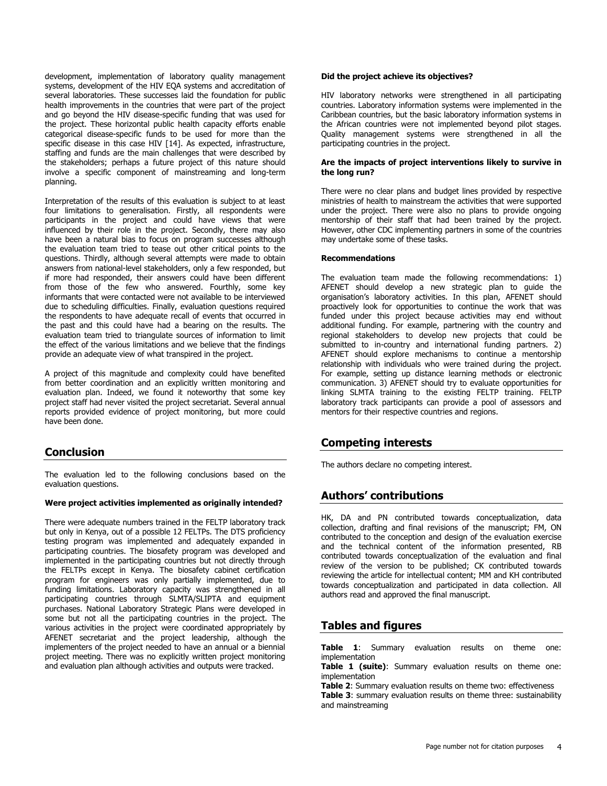development, implementation of laboratory quality management systems, development of the HIV EQA systems and accreditation of several laboratories. These successes laid the foundation for public health improvements in the countries that were part of the project and go beyond the HIV disease-specific funding that was used for the project. These horizontal public health capacity efforts enable categorical disease-specific funds to be used for more than the specific disease in this case HIV [\[14\]](http://www.panafrican-med-journal.com/content/article/30/297/full/#ref14). As expected, infrastructure, staffing and funds are the main challenges that were described by the stakeholders; perhaps a future project of this nature should involve a specific component of mainstreaming and long-term planning.

Interpretation of the results of this evaluation is subject to at least four limitations to generalisation. Firstly, all respondents were participants in the project and could have views that were influenced by their role in the project. Secondly, there may also have been a natural bias to focus on program successes although the evaluation team tried to tease out other critical points to the questions. Thirdly, although several attempts were made to obtain answers from national-level stakeholders, only a few responded, but if more had responded, their answers could have been different from those of the few who answered. Fourthly, some key informants that were contacted were not available to be interviewed due to scheduling difficulties. Finally, evaluation questions required the respondents to have adequate recall of events that occurred in the past and this could have had a bearing on the results. The evaluation team tried to triangulate sources of information to limit the effect of the various limitations and we believe that the findings provide an adequate view of what transpired in the project.

A project of this magnitude and complexity could have benefited from better coordination and an explicitly written monitoring and evaluation plan. Indeed, we found it noteworthy that some key project staff had never visited the project secretariat. Several annual reports provided evidence of project monitoring, but more could have been done.

## **Conclusion**

The evaluation led to the following conclusions based on the evaluation questions.

#### **Were project activities implemented as originally intended?**

There were adequate numbers trained in the FELTP laboratory track but only in Kenya, out of a possible 12 FELTPs. The DTS proficiency testing program was implemented and adequately expanded in participating countries. The biosafety program was developed and implemented in the participating countries but not directly through the FELTPs except in Kenya. The biosafety cabinet certification program for engineers was only partially implemented, due to funding limitations. Laboratory capacity was strengthened in all participating countries through SLMTA/SLIPTA and equipment purchases. National Laboratory Strategic Plans were developed in some but not all the participating countries in the project. The various activities in the project were coordinated appropriately by AFENET secretariat and the project leadership, although the implementers of the project needed to have an annual or a biennial project meeting. There was no explicitly written project monitoring and evaluation plan although activities and outputs were tracked.

#### **Did the project achieve its objectives?**

HIV laboratory networks were strengthened in all participating countries. Laboratory information systems were implemented in the Caribbean countries, but the basic laboratory information systems in the African countries were not implemented beyond pilot stages. Quality management systems were strengthened in all the participating countries in the project.

#### **Are the impacts of project interventions likely to survive in the long run?**

There were no clear plans and budget lines provided by respective ministries of health to mainstream the activities that were supported under the project. There were also no plans to provide ongoing mentorship of their staff that had been trained by the project. However, other CDC implementing partners in some of the countries may undertake some of these tasks.

#### **Recommendations**

The evaluation team made the following recommendations: 1) AFENET should develop a new strategic plan to guide the organisation's laboratory activities. In this plan, AFENET should proactively look for opportunities to continue the work that was funded under this project because activities may end without additional funding. For example, partnering with the country and regional stakeholders to develop new projects that could be submitted to in-country and international funding partners. 2) AFENET should explore mechanisms to continue a mentorship relationship with individuals who were trained during the project. For example, setting up distance learning methods or electronic communication. 3) AFENET should try to evaluate opportunities for linking SLMTA training to the existing FELTP training. FELTP laboratory track participants can provide a pool of assessors and mentors for their respective countries and regions.

## **Competing interests**

The authors declare no competing interest.

## **Authors' contributions**

HK, DA and PN contributed towards conceptualization, data collection, drafting and final revisions of the manuscript; FM, ON contributed to the conception and design of the evaluation exercise and the technical content of the information presented, RB contributed towards conceptualization of the evaluation and final review of the version to be published; CK contributed towards reviewing the article for intellectual content; MM and KH contributed towards conceptualization and participated in data collection. All authors read and approved the final manuscript.

## **Tables and figures**

**[Table 1](javascript:void(0))**: Summary evaluation results on theme one: implementation

**[Table 1 \(suite\)](javascript:void(0))**: Summary evaluation results on theme one: implementation

**[Table 2](javascript:void(0))**: Summary evaluation results on theme two: effectiveness

**[Table 3](javascript:void(0)):** summary evaluation results on theme three: sustainability and mainstreaming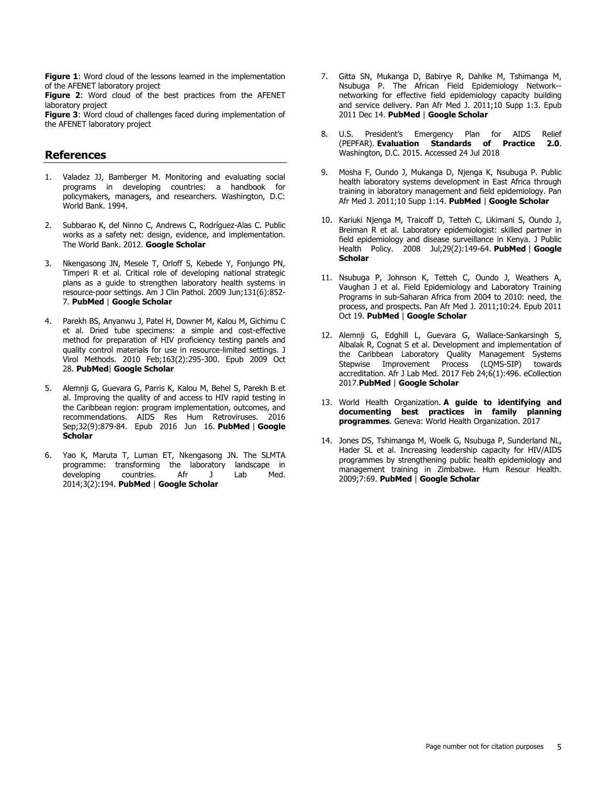[Figure 1](javascript:PopupFigure(): Word cloud of the lessons learned in the implementation of the AFENET laboratory project

**[Figure 2](javascript:PopupFigure()**: Word cloud of the best practices from the AFENET laboratory project

**[Figure 3](javascript:PopupFigure()**: Word cloud of challenges faced during implementation of the AFENET laboratory project

## **References**

- 1. Valadez JJ, Bamberger M. Monitoring and evaluating social programs in developing countries: a handbook for policymakers, managers, and researchers. Washington, D.C: World Bank. 1994.
- 2. Subbarao K, del Ninno C, Andrews C, Rodríguez-Alas C. Public works as a safety net: design, evidence, and implementation. The World Bank. 2012. **[Google Scholar](http://scholar.google.com/scholar?hl=en&q=+Public+works+as+a+safety+net:+design+evidence+and+implementation)**
- 3. Nkengasong JN, Mesele T, Orloff S, Kebede Y, Fonjungo PN, Timperi R et al. Critical role of developing national strategic plans as a guide to strengthen laboratory health systems in resource-poor settings. Am J Clin Pathol. 2009 Jun;131(6):852- 7. **[PubMed](http://www.ncbi.nlm.nih.gov/entrez/query.fcgi?db=PubMed&cmd=Search&doptcmdl=Citation&defaultField=Title+Word&term=Nkengasong%20JN%5bauthor%5d+AND++Critical+role+of+developing+national+strategic+plans+as+a+guide+to+strengthen+laboratory+health+systems+in+resource-poor+settings)** | **[Google Scholar](http://scholar.google.com/scholar?hl=en&q=+Critical+role+of+developing+national+strategic+plans+as+a+guide+to+strengthen+laboratory+health+systems+in+resource-poor+settings)**
- 4. Parekh BS, Anyanwu J, Patel H, Downer M, Kalou M, Gichimu C et al. Dried tube specimens: a simple and cost-effective method for preparation of HIV proficiency testing panels and quality control materials for use in resource-limited settings. J Virol Methods. 2010 Feb;163(2):295-300. Epub 2009 Oct 28. **[PubMed](http://www.ncbi.nlm.nih.gov/entrez/query.fcgi?db=PubMed&cmd=Search&doptcmdl=Citation&defaultField=Title+Word&term=Parekh%20BS%5bauthor%5d+AND++Dried+tube+specimens:+a+simple+and+cost-effective+method+for+preparation+of+HIV+proficiency+testing+panels+and+quality+control+materials+for+use+in+resource-limited+settings)**| **[Google Scholar](http://scholar.google.com/scholar?hl=en&q=+Dried+tube+specimens:+a+simple+and+cost-effective+method+for+preparation+of+HIV+proficiency+testing+panels+and+quality+control+materials+for+use+in+resource-limited+settings)**
- 5. Alemnji G, Guevara G, Parris K, Kalou M, Behel S, Parekh B et al. Improving the quality of and access to HIV rapid testing in the Caribbean region: program implementation, outcomes, and recommendations. AIDS Res Hum Retroviruses. 2016 Sep;32(9):879-84. Epub 2016 Jun 16. **[PubMed](http://www.ncbi.nlm.nih.gov/entrez/query.fcgi?db=PubMed&cmd=Search&doptcmdl=Citation&defaultField=Title+Word&term=Alemnji%20G%5bauthor%5d+AND++Improving+the+quality+of+and+access+to+HIV+rapid+testing+in+the+Caribbean+region:+program+implementation+outcomes+and+recommendations)** | **[Google](http://scholar.google.com/scholar?hl=en&q=+Improving+the+quality+of+and+access+to+HIV+rapid+testing+in+the+Caribbean+region:+program+implementation+outcomes+and+recommendations)  [Scholar](http://scholar.google.com/scholar?hl=en&q=+Improving+the+quality+of+and+access+to+HIV+rapid+testing+in+the+Caribbean+region:+program+implementation+outcomes+and+recommendations)**
- 6. Yao K, Maruta T, Luman ET, Nkengasong JN. The SLMTA programme: transforming the laboratory landscape in<br>developing countries. Afr J Lab Med. developing countries. Afr J Lab Med. 2014;3(2):194. **[PubMed](http://www.ncbi.nlm.nih.gov/entrez/query.fcgi?db=PubMed&cmd=Search&doptcmdl=Citation&defaultField=Title+Word&term=Yao%20K%5bauthor%5d+AND++The+SLMTA+programme:+transforming+the+laboratory+landscape+in+developing+countries)** | **[Google Scholar](http://scholar.google.com/scholar?hl=en&q=+The+SLMTA+programme:+transforming+the+laboratory+landscape+in+developing+countries)**
- 7. Gitta SN, Mukanga D, Babirye R, Dahlke M, Tshimanga M, Nsubuga P. The African Field Epidemiology Network- networking for effective field epidemiology capacity building and service delivery. Pan Afr Med J. 2011;10 Supp 1:3. Epub 2011 Dec 14. **[PubMed](http://www.ncbi.nlm.nih.gov/entrez/query.fcgi?db=PubMed&cmd=Search&doptcmdl=Citation&defaultField=Title+Word&term=Gitta%20SN%5bauthor%5d+AND++The+African+Field+Epidemiology+Network--networking+for+effective+field+epidemiology+capacity+building+and+service+delivery)** | **[Google Scholar](http://scholar.google.com/scholar?hl=en&q=+The+African+Field+Epidemiology+Network--networking+for+effective+field+epidemiology+capacity+building+and+service+delivery)**
- 8. U.S. President's Emergency Plan for AIDS Relief (PEPFAR). **[Evaluation Standards of Practice 2.0](https://www.pepfar.gov/documents/organization/247074.pdf)**. Washington, D.C. 2015. Accessed 24 Jul 2018
- 9. Mosha F, Oundo J, Mukanga D, Njenga K, Nsubuga P. Public health laboratory systems development in East Africa through training in laboratory management and field epidemiology. Pan Afr Med J. 2011;10 Supp 1:14. **[PubMed](http://www.ncbi.nlm.nih.gov/entrez/query.fcgi?db=PubMed&cmd=Search&doptcmdl=Citation&defaultField=Title+Word&term=Mosha%20F%5bauthor%5d+AND++Public+health+laboratory+systems+development+in+East+Africa+through+training+in+laboratory+management+and+field+epidemiology)** | **[Google Scholar](http://scholar.google.com/scholar?hl=en&q=+Public+health+laboratory+systems+development+in+East+Africa+through+training+in+laboratory+management+and+field+epidemiology)**
- 10. Kariuki Njenga M, Traicoff D, Tetteh C, Likimani S, Oundo J, Breiman R et al. Laboratory epidemiologist: skilled partner in field epidemiology and disease surveillance in Kenya. J Public Health Policy. 2008 Jul;29(2):149-64. **[PubMed](http://www.ncbi.nlm.nih.gov/entrez/query.fcgi?db=PubMed&cmd=Search&doptcmdl=Citation&defaultField=Title+Word&term=Kariuki%20Njenga%20M%5bauthor%5d+AND++Laboratory+epidemiologist:+skilled+partner+in+field+epidemiology+and+disease+surveillance+in+Kenya)** | **[Google](http://scholar.google.com/scholar?hl=en&q=+Laboratory+epidemiologist:+skilled+partner+in+field+epidemiology+and+disease+surveillance+in+Kenya)  [Scholar](http://scholar.google.com/scholar?hl=en&q=+Laboratory+epidemiologist:+skilled+partner+in+field+epidemiology+and+disease+surveillance+in+Kenya)**
- 11. Nsubuga P, Johnson K, Tetteh C, Oundo J, Weathers A, Vaughan J et al. Field Epidemiology and Laboratory Training Programs in sub-Saharan Africa from 2004 to 2010: need, the process, and prospects. Pan Afr Med J. 2011;10:24. Epub 2011 Oct 19. **[PubMed](http://www.ncbi.nlm.nih.gov/entrez/query.fcgi?db=PubMed&cmd=Search&doptcmdl=Citation&defaultField=Title+Word&term=Nsubuga%20P%5bauthor%5d+AND++Field+Epidemiology+and+Laboratory+Training+Programs+in+sub-Saharan+Africa+from+2004+to+2010:+need+the+process+and+prospects)** | **[Google Scholar](http://scholar.google.com/scholar?hl=en&q=+Field+Epidemiology+and+Laboratory+Training+Programs+in+sub-Saharan+Africa+from+2004+to+2010:+need+the+process+and+prospects)**
- 12. Alemnji G, Edghill L, Guevara G, Wallace-Sankarsingh S, Albalak R, Cognat S et al. Development and implementation of the Caribbean Laboratory Quality Management Systems Stepwise Improvement Process (LQMS-SIP) towards accreditation. Afr J Lab Med. 2017 Feb 24;6(1):496. eCollection 2017.**[PubMed](http://www.ncbi.nlm.nih.gov/entrez/query.fcgi?db=PubMed&cmd=Search&doptcmdl=Citation&defaultField=Title+Word&term=Alemnji%20G%5bauthor%5d+AND++Development+and+implementation+of+the+Caribbean+Laboratory+Quality+Management+Systems+Stepwise+Improvement+Process+(LQMS-SIP)+towards+accreditation)** | **[Google Scholar](http://scholar.google.com/scholar?hl=en&q=+Development+and+implementation+of+the+Caribbean+Laboratory+Quality+Management+Systems+Stepwise+Improvement+Process+(LQMS-SIP)+towards+accreditation)**
- 13. World Health Organization. **[A guide to identifying and](http://www.who.int/reproductivehealth/publications/family_planning/best-practices-fp-programs/en/)  [documenting best practices in family planning](http://www.who.int/reproductivehealth/publications/family_planning/best-practices-fp-programs/en/)  [programmes](http://www.who.int/reproductivehealth/publications/family_planning/best-practices-fp-programs/en/)**. Geneva: World Health Organization. 2017
- 14. Jones DS, Tshimanga M, Woelk G, Nsubuga P, Sunderland NL, Hader SL et al. Increasing leadership capacity for HIV/AIDS programmes by strengthening public health epidemiology and management training in Zimbabwe. Hum Resour Health. 2009;7:69. **[PubMed](http://www.ncbi.nlm.nih.gov/entrez/query.fcgi?db=PubMed&cmd=Search&doptcmdl=Citation&defaultField=Title+Word&term=Jones%20DS%5bauthor%5d+AND++Increasing+leadership+capacity+for+HIV/AIDS+programmes+by+strengthening+public+health+epidemiology+and+management+training+in+Zimbabwe)** | **[Google Scholar](http://scholar.google.com/scholar?hl=en&q=+Increasing+leadership+capacity+for+HIV/AIDS+programmes+by+strengthening+public+health+epidemiology+and+management+training+in+Zimbabwe)**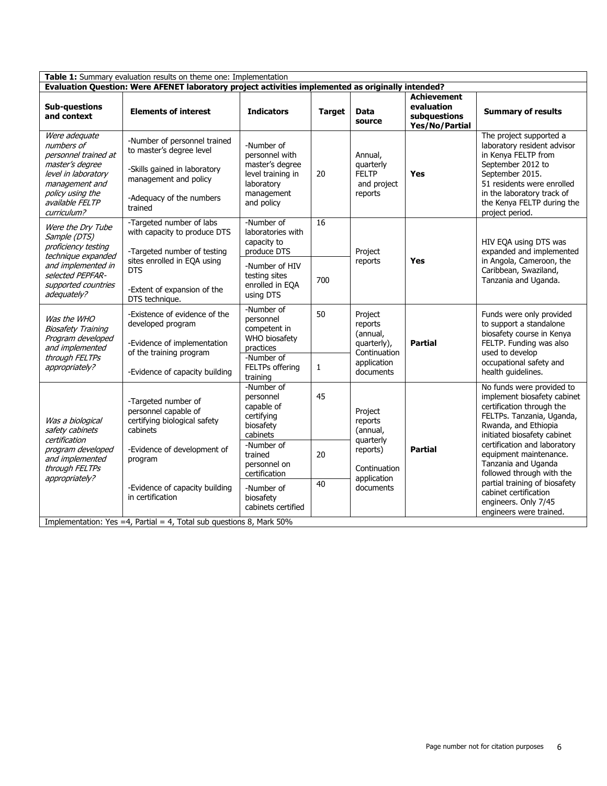| Table 1: Summary evaluation results on theme one: Implementation                                                                                                      |                                                                                                                                                          |                                                                                                                       |               |                                                                                           |                                                                           |                                                                                                                                                                                                                                                                                                                                                                                                      |
|-----------------------------------------------------------------------------------------------------------------------------------------------------------------------|----------------------------------------------------------------------------------------------------------------------------------------------------------|-----------------------------------------------------------------------------------------------------------------------|---------------|-------------------------------------------------------------------------------------------|---------------------------------------------------------------------------|------------------------------------------------------------------------------------------------------------------------------------------------------------------------------------------------------------------------------------------------------------------------------------------------------------------------------------------------------------------------------------------------------|
| Evaluation Question: Were AFENET laboratory project activities implemented as originally intended?                                                                    |                                                                                                                                                          |                                                                                                                       |               |                                                                                           |                                                                           |                                                                                                                                                                                                                                                                                                                                                                                                      |
| <b>Sub-questions</b><br>and context                                                                                                                                   | <b>Elements of interest</b>                                                                                                                              | <b>Indicators</b>                                                                                                     | <b>Target</b> | <b>Data</b><br>source                                                                     | <b>Achievement</b><br>evaluation<br>subquestions<br><b>Yes/No/Partial</b> | <b>Summary of results</b>                                                                                                                                                                                                                                                                                                                                                                            |
| Were adequate<br>numbers of<br>personnel trained at<br>master's degree<br>level in laboratory<br>management and<br>policy using the<br>available FELTP<br>curriculum? | -Number of personnel trained<br>to master's degree level<br>-Skills gained in laboratory<br>management and policy<br>-Adequacy of the numbers<br>trained | -Number of<br>personnel with<br>master's degree<br>level training in<br>laboratory<br>management<br>and policy        | 20            | Annual,<br>quarterly<br><b>FELTP</b><br>and project<br>reports                            | <b>Yes</b>                                                                | The project supported a<br>laboratory resident advisor<br>in Kenya FELTP from<br>September 2012 to<br>September 2015.<br>51 residents were enrolled<br>in the laboratory track of<br>the Kenya FELTP during the<br>project period.                                                                                                                                                                   |
| Were the Dry Tube<br>Sample (DTS)<br>proficiency testing<br>technique expanded<br>and implemented in<br>selected PEPFAR-<br>supported countries<br>adequately?        | -Targeted number of labs<br>with capacity to produce DTS<br>-Targeted number of testing                                                                  | -Number of<br>laboratories with<br>capacity to<br>produce DTS                                                         | 16            | Project<br>reports                                                                        | <b>Yes</b>                                                                | HIV EQA using DTS was<br>expanded and implemented<br>in Angola, Cameroon, the<br>Caribbean, Swaziland,<br>Tanzania and Uganda.                                                                                                                                                                                                                                                                       |
|                                                                                                                                                                       | sites enrolled in EQA using<br><b>DTS</b><br>-Extent of expansion of the<br>DTS technique.                                                               | -Number of HIV<br>testing sites<br>enrolled in EQA<br>using DTS                                                       | 700           |                                                                                           |                                                                           |                                                                                                                                                                                                                                                                                                                                                                                                      |
| Was the WHO<br><b>Biosafety Training</b><br>Program developed<br>and implemented<br>through FELTPs<br>appropriately?                                                  | -Existence of evidence of the<br>developed program<br>-Evidence of implementation<br>of the training program                                             | -Number of<br>personnel<br>competent in<br>WHO biosafety<br>practices                                                 | 50            | Project<br>reports<br>(annual,<br>quarterly),<br>Continuation<br>application<br>documents | <b>Partial</b>                                                            | Funds were only provided<br>to support a standalone<br>biosafety course in Kenya<br>FELTP. Funding was also<br>used to develop<br>occupational safety and<br>health guidelines.                                                                                                                                                                                                                      |
|                                                                                                                                                                       | -Evidence of capacity building                                                                                                                           | -Number of<br>FELTPs offering<br>training                                                                             | 1             |                                                                                           |                                                                           |                                                                                                                                                                                                                                                                                                                                                                                                      |
| Was a biological<br>safety cabinets<br>certification<br>program developed<br>and implemented<br>through FELTPs<br>appropriately?                                      | -Targeted number of<br>personnel capable of<br>certifying biological safety<br>cabinets<br>-Evidence of development of<br>program                        | -Number of<br>personnel<br>capable of<br>certifying<br>biosafety<br>cabinets<br>-Number of<br>trained<br>personnel on | 45<br>20      | Project<br>reports<br>(annual,<br>quarterly<br>reports)                                   | <b>Partial</b><br>Continuation                                            | No funds were provided to<br>implement biosafety cabinet<br>certification through the<br>FELTPs. Tanzania, Uganda,<br>Rwanda, and Ethiopia<br>initiated biosafety cabinet<br>certification and laboratory<br>equipment maintenance.<br>Tanzania and Uganda<br>followed through with the<br>partial training of biosafety<br>cabinet certification<br>engineers. Only 7/45<br>engineers were trained. |
|                                                                                                                                                                       | -Evidence of capacity building<br>in certification<br>Implementation: Yes =4, Partial = $4$ , Total sub questions 8, Mark 50%                            | certification<br>-Number of<br>biosafety<br>cabinets certified                                                        | 40            | application<br>documents                                                                  |                                                                           |                                                                                                                                                                                                                                                                                                                                                                                                      |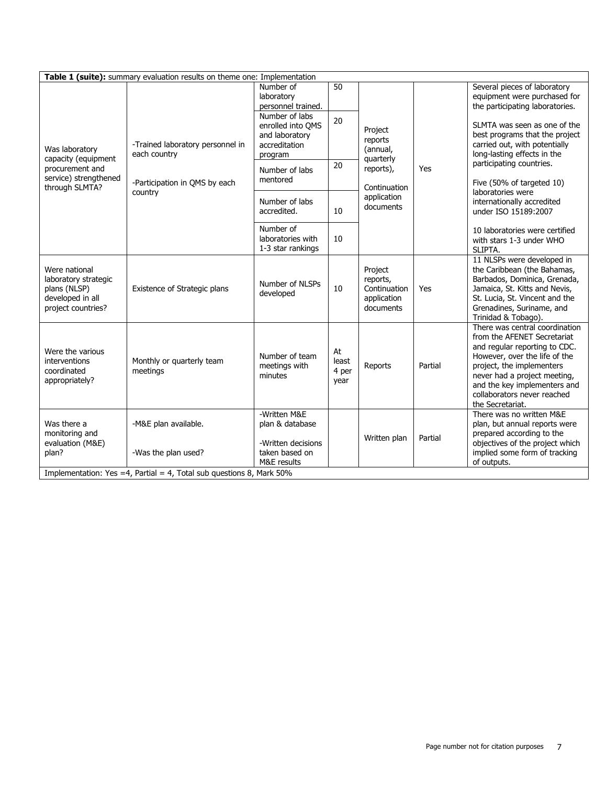| Table 1 (suite): summary evaluation results on theme one: Implementation                            |                                                                                              |                                                                                   |                              |                                                                                                      |         |                                                                                                                                                                                                                                                                                 |  |
|-----------------------------------------------------------------------------------------------------|----------------------------------------------------------------------------------------------|-----------------------------------------------------------------------------------|------------------------------|------------------------------------------------------------------------------------------------------|---------|---------------------------------------------------------------------------------------------------------------------------------------------------------------------------------------------------------------------------------------------------------------------------------|--|
| Was laboratory<br>capacity (equipment<br>procurement and<br>service) strengthened<br>through SLMTA? |                                                                                              | Number of<br>laboratory<br>personnel trained.                                     | 50                           |                                                                                                      |         | Several pieces of laboratory<br>equipment were purchased for<br>the participating laboratories.                                                                                                                                                                                 |  |
|                                                                                                     | -Trained laboratory personnel in<br>each country<br>-Participation in QMS by each<br>country | Number of labs<br>enrolled into OMS<br>and laboratory<br>accreditation<br>program | 20                           | Project<br>reports<br>(annual,<br>quarterly<br>reports),<br>Continuation<br>application<br>documents | Yes     | SLMTA was seen as one of the<br>best programs that the project<br>carried out, with potentially<br>long-lasting effects in the<br>participating countries.<br>Five (50% of targeted 10)<br>laboratories were<br>internationally accredited<br>under ISO 15189:2007              |  |
|                                                                                                     |                                                                                              | Number of labs<br>mentored                                                        | 20                           |                                                                                                      |         |                                                                                                                                                                                                                                                                                 |  |
|                                                                                                     |                                                                                              | Number of labs<br>accredited.                                                     | 10                           |                                                                                                      |         |                                                                                                                                                                                                                                                                                 |  |
|                                                                                                     |                                                                                              | Number of<br>laboratories with<br>1-3 star rankings                               | 10                           |                                                                                                      |         | 10 laboratories were certified<br>with stars 1-3 under WHO<br>SLIPTA.                                                                                                                                                                                                           |  |
| Were national<br>laboratory strategic<br>plans (NLSP)<br>developed in all<br>project countries?     | Existence of Strategic plans                                                                 | Number of NLSPs<br>developed                                                      | 10                           | Project<br>reports,<br>Continuation<br>application<br>documents                                      | Yes     | 11 NLSPs were developed in<br>the Caribbean (the Bahamas,<br>Barbados, Dominica, Grenada,<br>Jamaica, St. Kitts and Nevis,<br>St. Lucia, St. Vincent and the<br>Grenadines, Suriname, and<br>Trinidad & Tobago).                                                                |  |
| Were the various<br>interventions<br>coordinated<br>appropriately?                                  | Monthly or quarterly team<br>meetings                                                        | Number of team<br>meetings with<br>minutes                                        | At<br>least<br>4 per<br>year | Reports                                                                                              | Partial | There was central coordination<br>from the AFENET Secretariat<br>and regular reporting to CDC.<br>However, over the life of the<br>project, the implementers<br>never had a project meeting,<br>and the key implementers and<br>collaborators never reached<br>the Secretariat. |  |
| Was there a<br>monitoring and<br>evaluation (M&E)<br>plan?                                          | -M&E plan available.<br>-Was the plan used?                                                  | -Written M&E<br>plan & database<br>-Written decisions<br>taken based on           |                              | Written plan                                                                                         | Partial | There was no written M&E<br>plan, but annual reports were<br>prepared according to the<br>objectives of the project which<br>implied some form of tracking                                                                                                                      |  |
| M&E results<br>of outputs.<br>Implementation: Yes =4, Partial = 4, Total sub questions 8, Mark 50%  |                                                                                              |                                                                                   |                              |                                                                                                      |         |                                                                                                                                                                                                                                                                                 |  |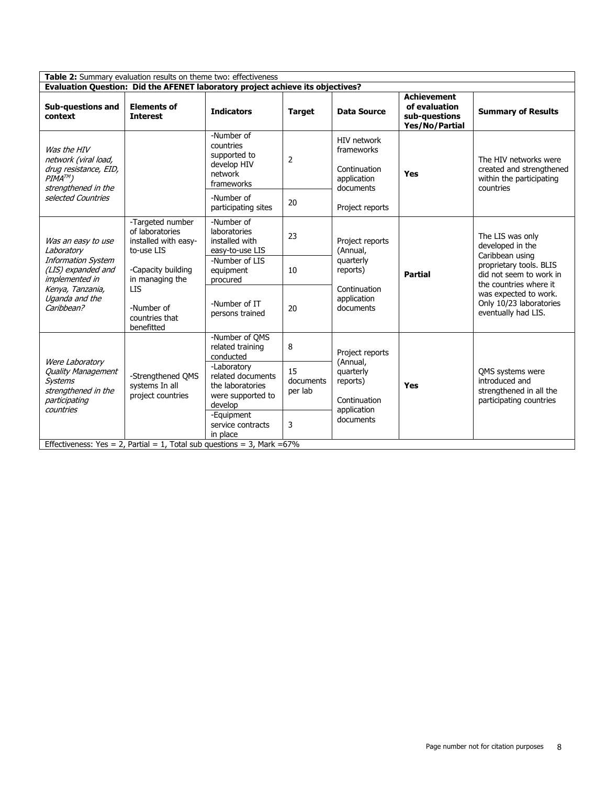| Table 2: Summary evaluation results on theme two: effectiveness                                                                                           |                                                                           |                                                                                      |                            |                                                                       |                                                                         |                                                                                                                                         |  |  |
|-----------------------------------------------------------------------------------------------------------------------------------------------------------|---------------------------------------------------------------------------|--------------------------------------------------------------------------------------|----------------------------|-----------------------------------------------------------------------|-------------------------------------------------------------------------|-----------------------------------------------------------------------------------------------------------------------------------------|--|--|
| Evaluation Question: Did the AFENET laboratory project achieve its objectives?                                                                            |                                                                           |                                                                                      |                            |                                                                       |                                                                         |                                                                                                                                         |  |  |
| <b>Sub-questions and</b><br>context                                                                                                                       | <b>Elements of</b><br><b>Interest</b>                                     | <b>Indicators</b>                                                                    | <b>Target</b>              | <b>Data Source</b>                                                    | <b>Achievement</b><br>of evaluation<br>sub-questions<br>Yes/No/Partial  | <b>Summary of Results</b>                                                                                                               |  |  |
| Was the HIV<br>network (viral load,<br>drug resistance, EID,<br>$PIMA^{TM}$ )<br>strengthened in the<br>selected Countries                                |                                                                           | -Number of<br>countries<br>supported to<br>develop HIV<br>network<br>frameworks      | $\overline{2}$             | HIV network<br>frameworks<br>Continuation<br>application<br>documents | Yes                                                                     | The HIV networks were<br>created and strengthened<br>within the participating<br>countries                                              |  |  |
|                                                                                                                                                           |                                                                           | -Number of<br>participating sites                                                    | 20                         | Project reports                                                       |                                                                         |                                                                                                                                         |  |  |
| Was an easy to use<br>Laboratory<br><b>Information System</b><br>(LIS) expanded and<br>implemented in<br>Kenya, Tanzania,<br>Uganda and the<br>Caribbean? | -Targeted number<br>of laboratories<br>installed with easy-<br>to-use LIS | -Number of<br>laboratories<br>installed with<br>easy-to-use LIS                      | 23                         | Project reports<br>(Annual,                                           | <b>Partial</b>                                                          | The LIS was only<br>developed in the<br>Caribbean using<br>proprietary tools. BLIS<br>did not seem to work in<br>the countries where it |  |  |
|                                                                                                                                                           | -Capacity building<br>in managing the                                     | -Number of LIS<br>equipment<br>procured                                              | 10                         | quarterly<br>reports)<br>Continuation<br>application<br>documents     |                                                                         |                                                                                                                                         |  |  |
|                                                                                                                                                           | LIS<br>-Number of<br>countries that<br>benefitted                         | -Number of IT<br>persons trained                                                     | 20                         |                                                                       | was expected to work.<br>Only 10/23 laboratories<br>eventually had LIS. |                                                                                                                                         |  |  |
| Were Laboratory<br><b>Quality Management</b><br><b>Systems</b><br>strengthened in the<br>participating<br>countries                                       | -Strengthened OMS<br>systems In all<br>project countries                  | -Number of QMS<br>related training<br>conducted                                      | 8                          | Project reports<br>(Annual,                                           | Yes                                                                     | QMS systems were<br>introduced and<br>strengthened in all the<br>participating countries                                                |  |  |
|                                                                                                                                                           |                                                                           | -Laboratory<br>related documents<br>the laboratories<br>were supported to<br>develop | 15<br>documents<br>per lab | quarterly<br>reports)<br>Continuation<br>application                  |                                                                         |                                                                                                                                         |  |  |
|                                                                                                                                                           |                                                                           | -Equipment<br>service contracts<br>in place                                          | 3                          | documents                                                             |                                                                         |                                                                                                                                         |  |  |
| Effectiveness: Yes = 2, Partial = 1, Total sub questions = 3, Mark = $67\%$                                                                               |                                                                           |                                                                                      |                            |                                                                       |                                                                         |                                                                                                                                         |  |  |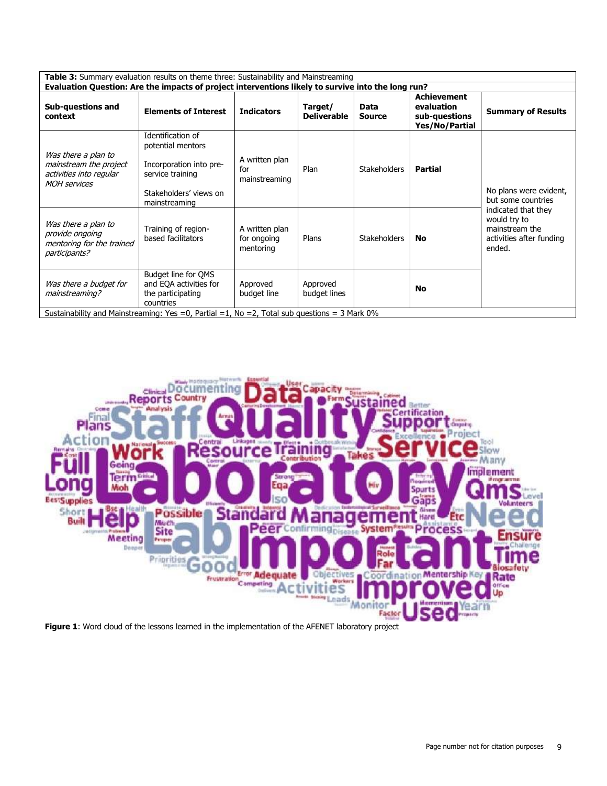| Table 3: Summary evaluation results on theme three: Sustainability and Mainstreaming                                                     |                                                                                                                                  |                                            |                               |                       |                                                                            |                                                                                             |  |
|------------------------------------------------------------------------------------------------------------------------------------------|----------------------------------------------------------------------------------------------------------------------------------|--------------------------------------------|-------------------------------|-----------------------|----------------------------------------------------------------------------|---------------------------------------------------------------------------------------------|--|
| Evaluation Question: Are the impacts of project interventions likely to survive into the long run?                                       |                                                                                                                                  |                                            |                               |                       |                                                                            |                                                                                             |  |
| <b>Sub-questions and</b><br>context                                                                                                      | <b>Elements of Interest</b>                                                                                                      | <b>Indicators</b>                          | Target/<br><b>Deliverable</b> | Data<br><b>Source</b> | <b>Achievement</b><br>evaluation<br>sub-questions<br><b>Yes/No/Partial</b> | <b>Summary of Results</b>                                                                   |  |
| Was there a plan to<br>mainstream the project<br>activities into regular<br><b>MOH</b> services                                          | Identification of<br>potential mentors<br>Incorporation into pre-<br>service training<br>Stakeholders' views on<br>mainstreaming | A written plan<br>for<br>mainstreaming     | Plan                          | <b>Stakeholders</b>   | <b>Partial</b>                                                             | No plans were evident,<br>but some countries                                                |  |
| Was there a plan to<br>provide ongoing<br>mentoring for the trained<br>participants?                                                     | Training of region-<br>based facilitators                                                                                        | A written plan<br>for ongoing<br>mentoring | Plans                         | <b>Stakeholders</b>   | <b>No</b>                                                                  | indicated that they<br>would try to<br>mainstream the<br>activities after funding<br>ended. |  |
| Was there a budget for<br>mainstreaming?<br>Sustainability and Mainstreaming: Yes =0, Partial =1, No =2, Total sub questions = 3 Mark 0% | Budget line for QMS<br>and EQA activities for<br>the participating<br>countries                                                  | Approved<br>budget line                    | Approved<br>budget lines      |                       | No                                                                         |                                                                                             |  |



**[Figure 1](javascript:PopupFigure()**: Word cloud of the lessons learned in the implementation of the AFENET laboratory project